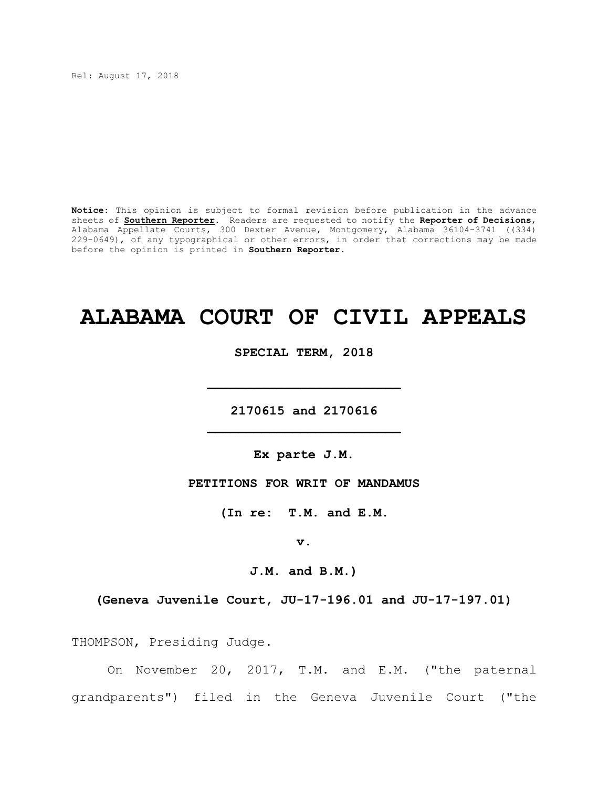Rel: August 17, 2018

**Notice**: This opinion is subject to formal revision before publication in the advance sheets of **Southern Reporter**. Readers are requested to notify the **Reporter of Decisions**, Alabama Appellate Courts, 300 Dexter Avenue, Montgomery, Alabama 36104-3741 ((334) 229-0649), of any typographical or other errors, in order that corrections may be made before the opinion is printed in **Southern Reporter**.

# **ALABAMA COURT OF CIVIL APPEALS**

**SPECIAL TERM, 2018**

**\_\_\_\_\_\_\_\_\_\_\_\_\_\_\_\_\_\_\_\_\_\_\_\_\_**

**2170615 and 2170616 \_\_\_\_\_\_\_\_\_\_\_\_\_\_\_\_\_\_\_\_\_\_\_\_\_**

**Ex parte J.M.**

**PETITIONS FOR WRIT OF MANDAMUS**

**(In re: T.M. and E.M.**

**v.**

**J.M. and B.M.)**

**(Geneva Juvenile Court, JU-17-196.01 and JU-17-197.01)**

THOMPSON, Presiding Judge.

On November 20, 2017, T.M. and E.M. ("the paternal grandparents") filed in the Geneva Juvenile Court ("the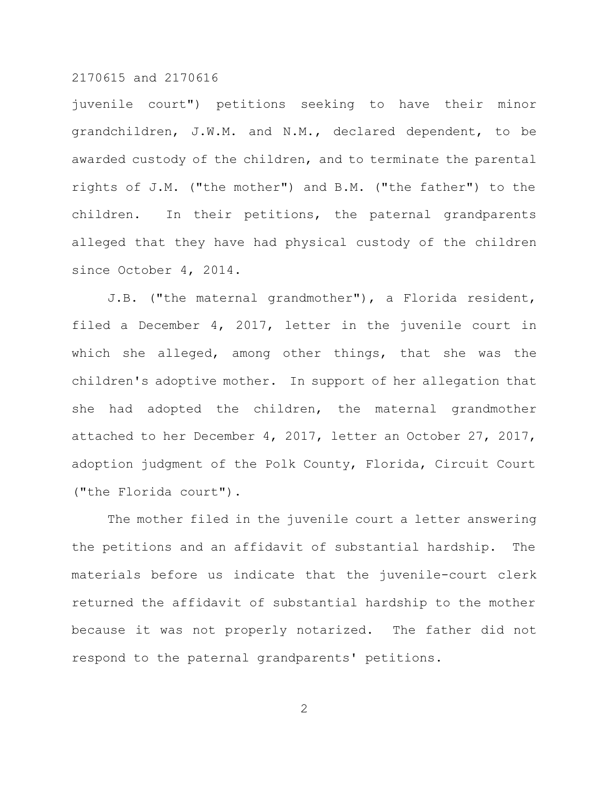juvenile court") petitions seeking to have their minor grandchildren, J.W.M. and N.M., declared dependent, to be awarded custody of the children, and to terminate the parental rights of J.M. ("the mother") and B.M. ("the father") to the children. In their petitions, the paternal grandparents alleged that they have had physical custody of the children since October 4, 2014.

J.B. ("the maternal grandmother"), a Florida resident, filed a December 4, 2017, letter in the juvenile court in which she alleged, among other things, that she was the children's adoptive mother. In support of her allegation that she had adopted the children, the maternal grandmother attached to her December 4, 2017, letter an October 27, 2017, adoption judgment of the Polk County, Florida, Circuit Court ("the Florida court").

The mother filed in the juvenile court a letter answering the petitions and an affidavit of substantial hardship. The materials before us indicate that the juvenile-court clerk returned the affidavit of substantial hardship to the mother because it was not properly notarized. The father did not respond to the paternal grandparents' petitions.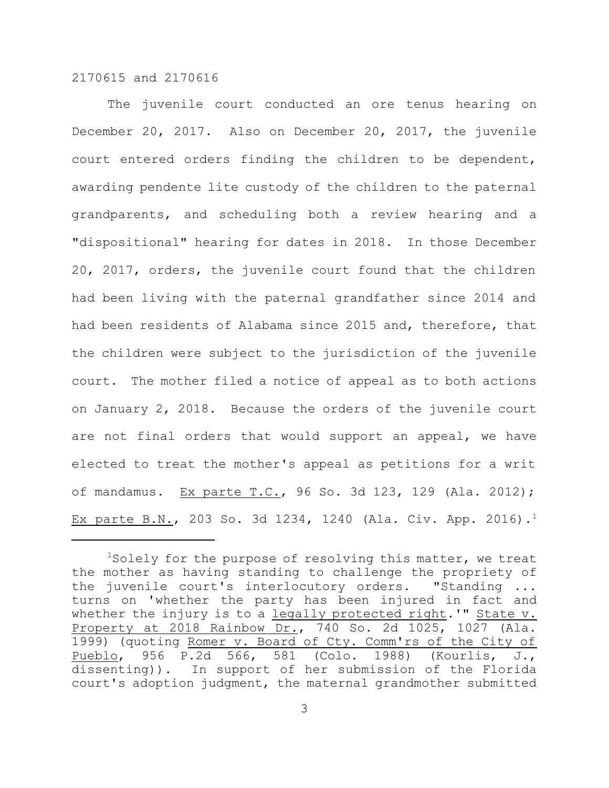The juvenile court conducted an ore tenus hearing on December 20, 2017. Also on December 20, 2017, the juvenile court entered orders finding the children to be dependent, awarding pendente lite custody of the children to the paternal grandparents, and scheduling both a review hearing and a "dispositional" hearing for dates in 2018. In those December 20, 2017, orders, the juvenile court found that the children had been living with the paternal grandfather since 2014 and had been residents of Alabama since 2015 and, therefore, that the children were subject to the jurisdiction of the juvenile court. The mother filed a notice of appeal as to both actions on January 2, 2018. Because the orders of the juvenile court are not final orders that would support an appeal, we have elected to treat the mother's appeal as petitions for a writ of mandamus. Ex parte T.C., 96 So. 3d 123, 129 (Ala. 2012); Ex parte B.N., 203 So. 3d 1234, 1240 (Ala. Civ. App. 2016).<sup>1</sup>

 $1$ Solely for the purpose of resolving this matter, we treat the mother as having standing to challenge the propriety of the juvenile court's interlocutory orders. "Standing ... turns on 'whether the party has been injured in fact and whether the injury is to a legally protected right.'" State v. Property at 2018 Rainbow Dr., 740 So. 2d 1025, 1027 (Ala. 1999) (quoting Romer v. Board of Cty. Comm'rs of the City of Pueblo, 956 P.2d 566, 581 (Colo. 1988) (Kourlis, J., dissenting)). In support of her submission of the Florida court's adoption judgment, the maternal grandmother submitted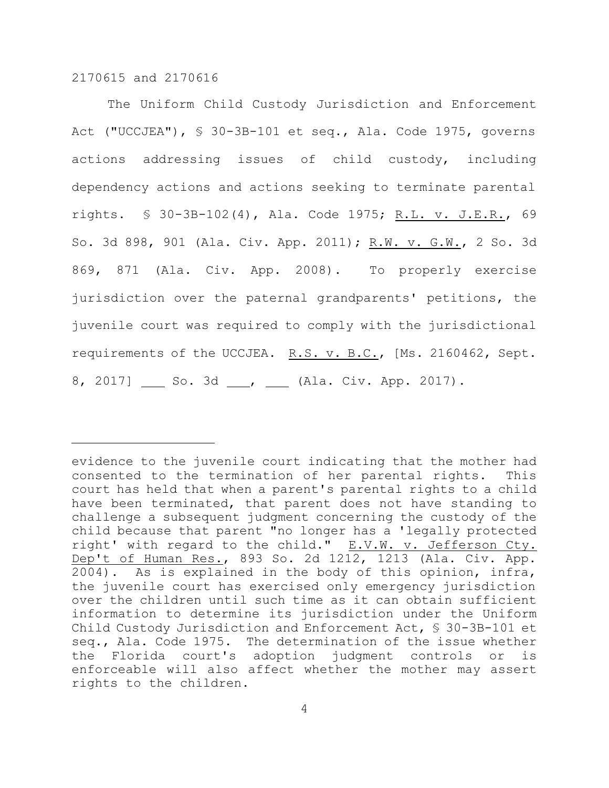The Uniform Child Custody Jurisdiction and Enforcement Act ("UCCJEA"), § 30-3B-101 et seq., Ala. Code 1975, governs actions addressing issues of child custody, including dependency actions and actions seeking to terminate parental rights. § 30-3B-102(4), Ala. Code 1975; R.L. v. J.E.R., 69 So. 3d 898, 901 (Ala. Civ. App. 2011); R.W. v. G.W., 2 So. 3d 869, 871 (Ala. Civ. App. 2008). To properly exercise jurisdiction over the paternal grandparents' petitions, the juvenile court was required to comply with the jurisdictional requirements of the UCCJEA. R.S. v. B.C., [Ms. 2160462, Sept. 8, 2017] So. 3d , Let Ala. Civ. App. 2017).

evidence to the juvenile court indicating that the mother had consented to the termination of her parental rights. This court has held that when a parent's parental rights to a child have been terminated, that parent does not have standing to challenge a subsequent judgment concerning the custody of the child because that parent "no longer has a 'legally protected right' with regard to the child." E.V.W. v. Jefferson Cty. Dep't of Human Res., 893 So. 2d 1212, 1213 (Ala. Civ. App. 2004). As is explained in the body of this opinion, infra, the juvenile court has exercised only emergency jurisdiction over the children until such time as it can obtain sufficient information to determine its jurisdiction under the Uniform Child Custody Jurisdiction and Enforcement Act, § 30-3B-101 et seq., Ala. Code 1975. The determination of the issue whether the Florida court's adoption judgment controls or is enforceable will also affect whether the mother may assert rights to the children.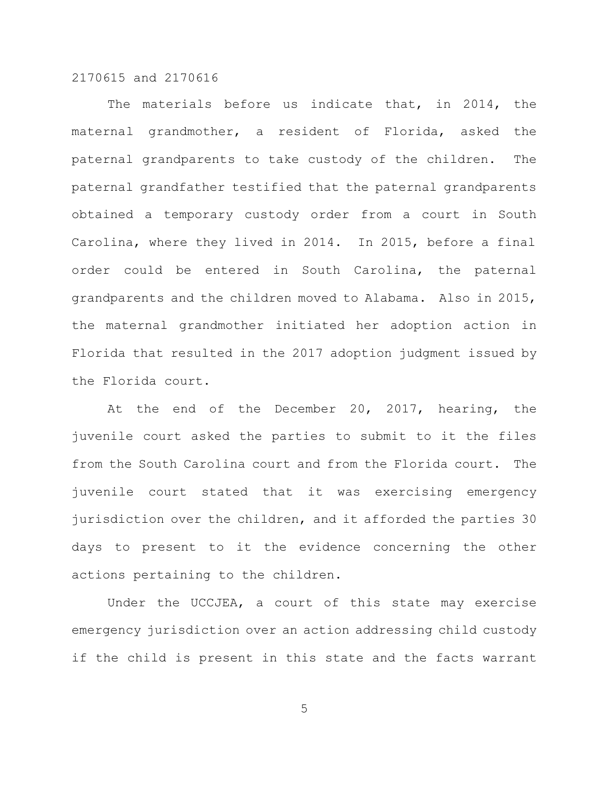The materials before us indicate that, in 2014, the maternal grandmother, a resident of Florida, asked the paternal grandparents to take custody of the children. The paternal grandfather testified that the paternal grandparents obtained a temporary custody order from a court in South Carolina, where they lived in 2014. In 2015, before a final order could be entered in South Carolina, the paternal grandparents and the children moved to Alabama. Also in 2015, the maternal grandmother initiated her adoption action in Florida that resulted in the 2017 adoption judgment issued by the Florida court.

At the end of the December 20, 2017, hearing, the juvenile court asked the parties to submit to it the files from the South Carolina court and from the Florida court. The juvenile court stated that it was exercising emergency jurisdiction over the children, and it afforded the parties 30 days to present to it the evidence concerning the other actions pertaining to the children.

Under the UCCJEA, a court of this state may exercise emergency jurisdiction over an action addressing child custody if the child is present in this state and the facts warrant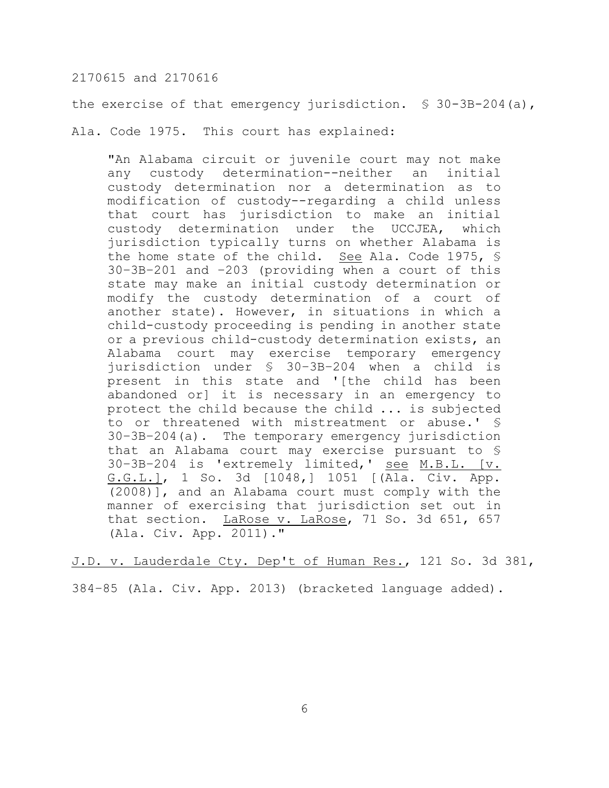the exercise of that emergency jurisdiction. § 30-3B-204(a),

Ala. Code 1975. This court has explained:

"An Alabama circuit or juvenile court may not make any custody determination--neither an initial custody determination nor a determination as to modification of custody--regarding a child unless that court has jurisdiction to make an initial custody determination under the UCCJEA, which jurisdiction typically turns on whether Alabama is the home state of the child. See Ala. Code 1975, § 30–3B–201 and –203 (providing when a court of this state may make an initial custody determination or modify the custody determination of a court of another state). However, in situations in which a child-custody proceeding is pending in another state or a previous child-custody determination exists, an Alabama court may exercise temporary emergency jurisdiction under § 30–3B–204 when a child is present in this state and '[the child has been abandoned or] it is necessary in an emergency to protect the child because the child ... is subjected to or threatened with mistreatment or abuse.' § 30–3B–204(a). The temporary emergency jurisdiction that an Alabama court may exercise pursuant to § 30–3B–204 is 'extremely limited,' see M.B.L. [v. G.G.L.], 1 So. 3d [1048,] 1051 [(Ala. Civ. App. (2008)], and an Alabama court must comply with the manner of exercising that jurisdiction set out in that section. LaRose v. LaRose, 71 So. 3d 651, 657 (Ala. Civ. App. 2011)."

J.D. v. Lauderdale Cty. Dep't of Human Res., 121 So. 3d 381,

384–85 (Ala. Civ. App. 2013) (bracketed language added).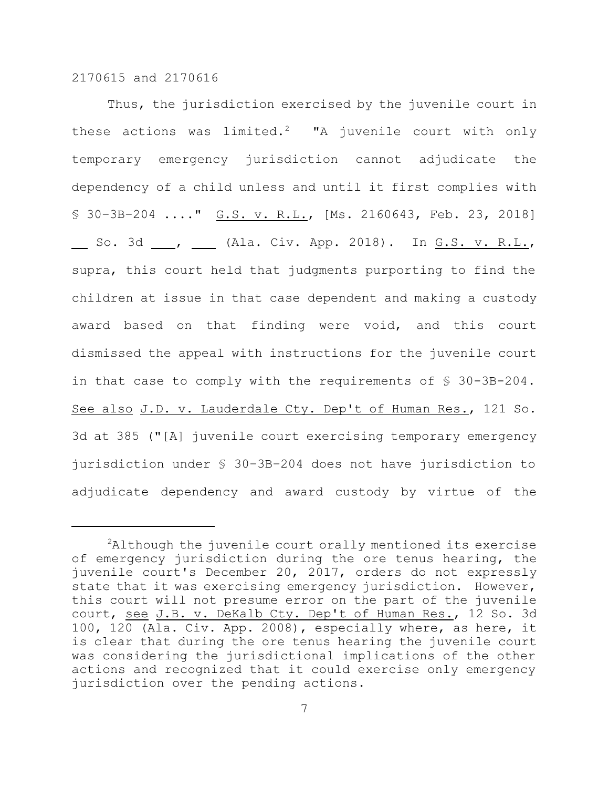Thus, the jurisdiction exercised by the juvenile court in these actions was limited.<sup>2</sup> "A juvenile court with only temporary emergency jurisdiction cannot adjudicate the dependency of a child unless and until it first complies with § 30–3B–204 ...." G.S. v. R.L., [Ms. 2160643, Feb. 23, 2018] So. 3d \_\_\_, \_\_\_ (Ala. Civ. App. 2018). In G.S. v. R.L., supra, this court held that judgments purporting to find the children at issue in that case dependent and making a custody award based on that finding were void, and this court dismissed the appeal with instructions for the juvenile court in that case to comply with the requirements of § 30-3B-204. See also J.D. v. Lauderdale Cty. Dep't of Human Res., 121 So. 3d at 385 ("[A] juvenile court exercising temporary emergency jurisdiction under § 30–3B–204 does not have jurisdiction to adjudicate dependency and award custody by virtue of the

 $2$ Although the juvenile court orally mentioned its exercise of emergency jurisdiction during the ore tenus hearing, the juvenile court's December 20, 2017, orders do not expressly state that it was exercising emergency jurisdiction. However, this court will not presume error on the part of the juvenile court, see J.B. v. DeKalb Cty. Dep't of Human Res., 12 So. 3d 100, 120 (Ala. Civ. App. 2008), especially where, as here, it is clear that during the ore tenus hearing the juvenile court was considering the jurisdictional implications of the other actions and recognized that it could exercise only emergency jurisdiction over the pending actions.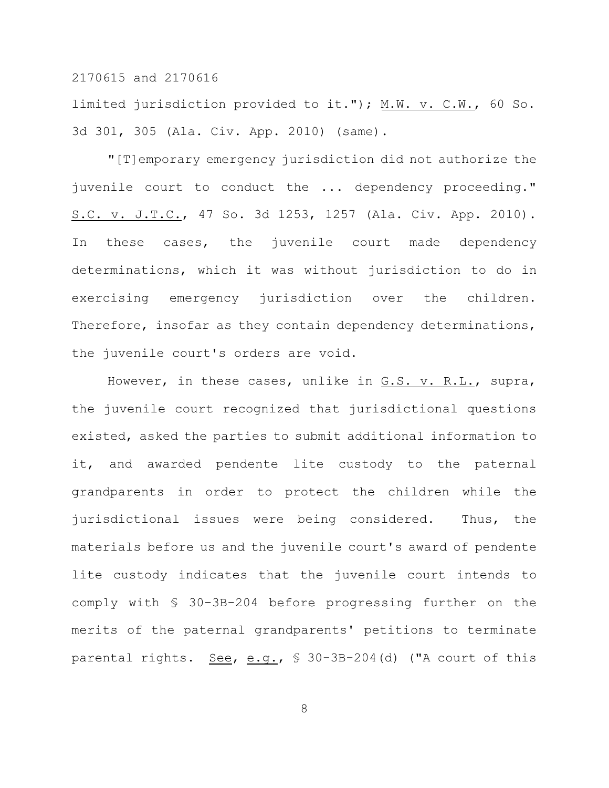limited jurisdiction provided to it."); M.W. v. C.W., 60 So. 3d 301, 305 (Ala. Civ. App. 2010) (same).

"[T]emporary emergency jurisdiction did not authorize the juvenile court to conduct the ... dependency proceeding." S.C. v. J.T.C., 47 So. 3d 1253, 1257 (Ala. Civ. App. 2010). In these cases, the juvenile court made dependency determinations, which it was without jurisdiction to do in exercising emergency jurisdiction over the children. Therefore, insofar as they contain dependency determinations, the juvenile court's orders are void.

However, in these cases, unlike in G.S. v. R.L., supra, the juvenile court recognized that jurisdictional questions existed, asked the parties to submit additional information to it, and awarded pendente lite custody to the paternal grandparents in order to protect the children while the jurisdictional issues were being considered. Thus, the materials before us and the juvenile court's award of pendente lite custody indicates that the juvenile court intends to comply with § 30-3B-204 before progressing further on the merits of the paternal grandparents' petitions to terminate parental rights. See, e.g., § 30-3B-204(d) ("A court of this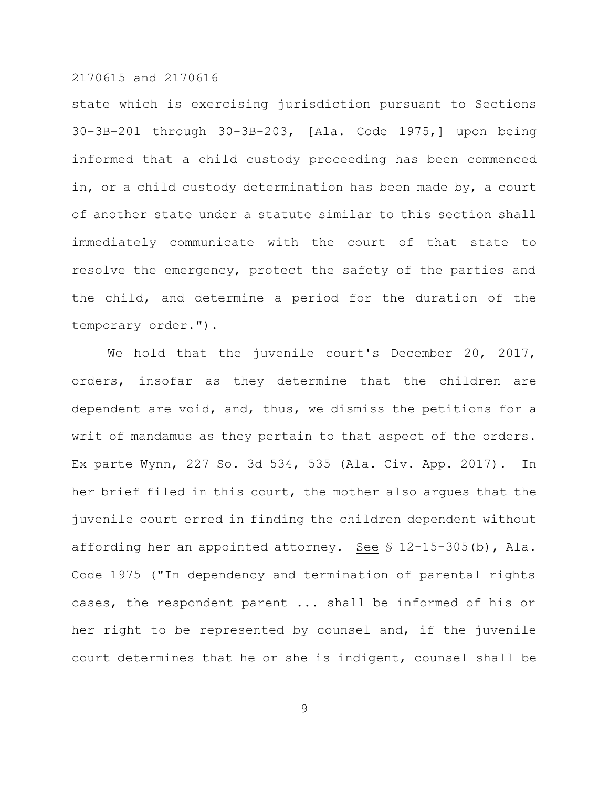state which is exercising jurisdiction pursuant to Sections 30-3B-201 through 30-3B-203, [Ala. Code 1975,] upon being informed that a child custody proceeding has been commenced in, or a child custody determination has been made by, a court of another state under a statute similar to this section shall immediately communicate with the court of that state to resolve the emergency, protect the safety of the parties and the child, and determine a period for the duration of the temporary order.").

We hold that the juvenile court's December 20, 2017, orders, insofar as they determine that the children are dependent are void, and, thus, we dismiss the petitions for a writ of mandamus as they pertain to that aspect of the orders. Ex parte Wynn, 227 So. 3d 534, 535 (Ala. Civ. App. 2017). In her brief filed in this court, the mother also argues that the juvenile court erred in finding the children dependent without affording her an appointed attorney. See § 12-15-305(b), Ala. Code 1975 ("In dependency and termination of parental rights cases, the respondent parent ... shall be informed of his or her right to be represented by counsel and, if the juvenile court determines that he or she is indigent, counsel shall be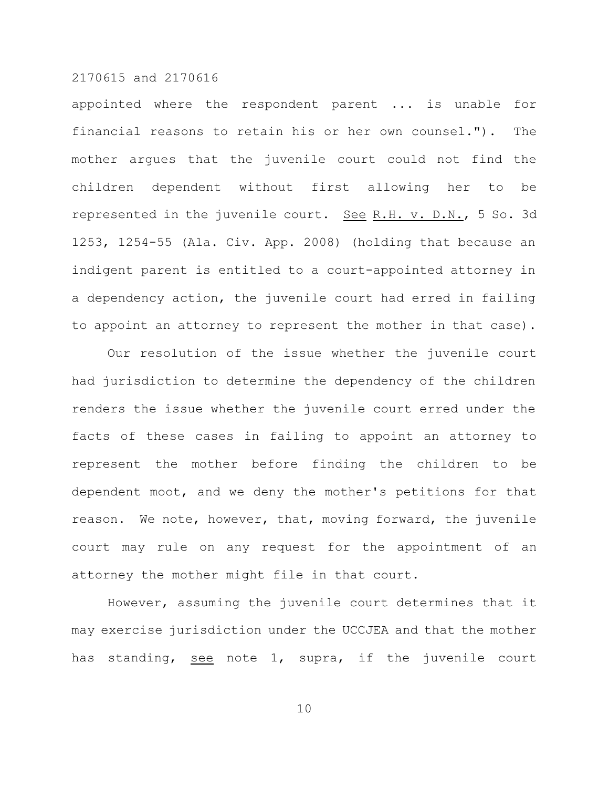appointed where the respondent parent ... is unable for financial reasons to retain his or her own counsel."). The mother argues that the juvenile court could not find the children dependent without first allowing her to be represented in the juvenile court. See R.H. v. D.N., 5 So. 3d 1253, 1254-55 (Ala. Civ. App. 2008) (holding that because an indigent parent is entitled to a court-appointed attorney in a dependency action, the juvenile court had erred in failing to appoint an attorney to represent the mother in that case).

Our resolution of the issue whether the juvenile court had jurisdiction to determine the dependency of the children renders the issue whether the juvenile court erred under the facts of these cases in failing to appoint an attorney to represent the mother before finding the children to be dependent moot, and we deny the mother's petitions for that reason. We note, however, that, moving forward, the juvenile court may rule on any request for the appointment of an attorney the mother might file in that court.

However, assuming the juvenile court determines that it may exercise jurisdiction under the UCCJEA and that the mother has standing, see note 1, supra, if the juvenile court